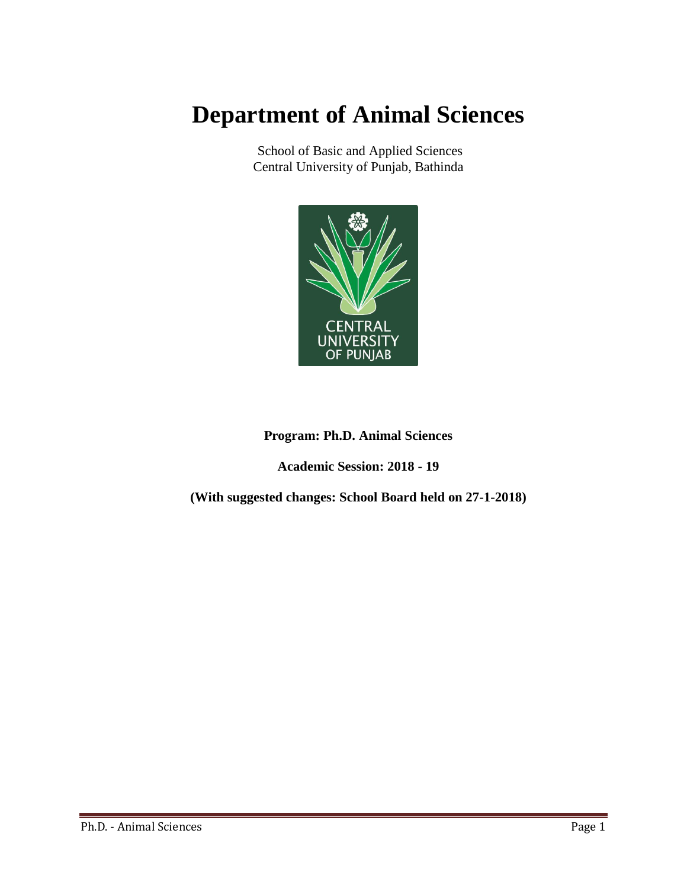# **Department of Animal Sciences**

School of Basic and Applied Sciences Central University of Punjab, Bathinda



# **Program: Ph.D. Animal Sciences**

**Academic Session: 2018 - 19**

**(With suggested changes: School Board held on 27-1-2018)**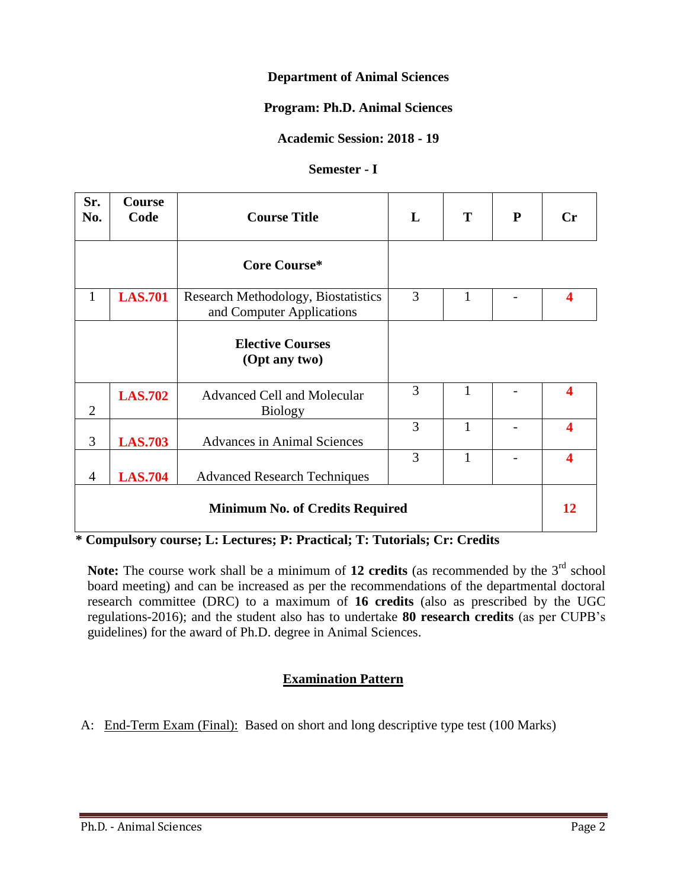#### **Department of Animal Sciences**

#### **Program: Ph.D. Animal Sciences**

### **Academic Session: 2018 - 19**

#### **Semester - I**

| Sr.<br>No.     | <b>Course</b><br>Code | <b>Course Title</b>                                              | L | T | ${\bf P}$ | $\mathbf{C}$ r          |
|----------------|-----------------------|------------------------------------------------------------------|---|---|-----------|-------------------------|
|                |                       | Core Course*                                                     |   |   |           |                         |
| 1              | <b>LAS.701</b>        | Research Methodology, Biostatistics<br>and Computer Applications | 3 | 1 |           | ◢                       |
|                |                       | <b>Elective Courses</b><br>(Opt any two)                         |   |   |           |                         |
| $\overline{2}$ | <b>LAS.702</b>        | <b>Advanced Cell and Molecular</b><br><b>Biology</b>             | 3 | 1 |           | 4                       |
| 3              | <b>LAS.703</b>        | <b>Advances in Animal Sciences</b>                               | 3 | 1 |           | $\overline{\mathbf{4}}$ |
| $\overline{4}$ | <b>LAS.704</b>        | <b>Advanced Research Techniques</b>                              | 3 | 1 |           | $\Delta$                |
|                |                       | <b>Minimum No. of Credits Required</b>                           |   |   |           | 12                      |

**\* Compulsory course; L: Lectures; P: Practical; T: Tutorials; Cr: Credits**

Note: The course work shall be a minimum of 12 credits (as recommended by the 3<sup>rd</sup> school board meeting) and can be increased as per the recommendations of the departmental doctoral research committee (DRC) to a maximum of **16 credits** (also as prescribed by the UGC regulations-2016); and the student also has to undertake **80 research credits** (as per CUPB's guidelines) for the award of Ph.D. degree in Animal Sciences.

# **Examination Pattern**

A: End-Term Exam (Final): Based on short and long descriptive type test (100 Marks)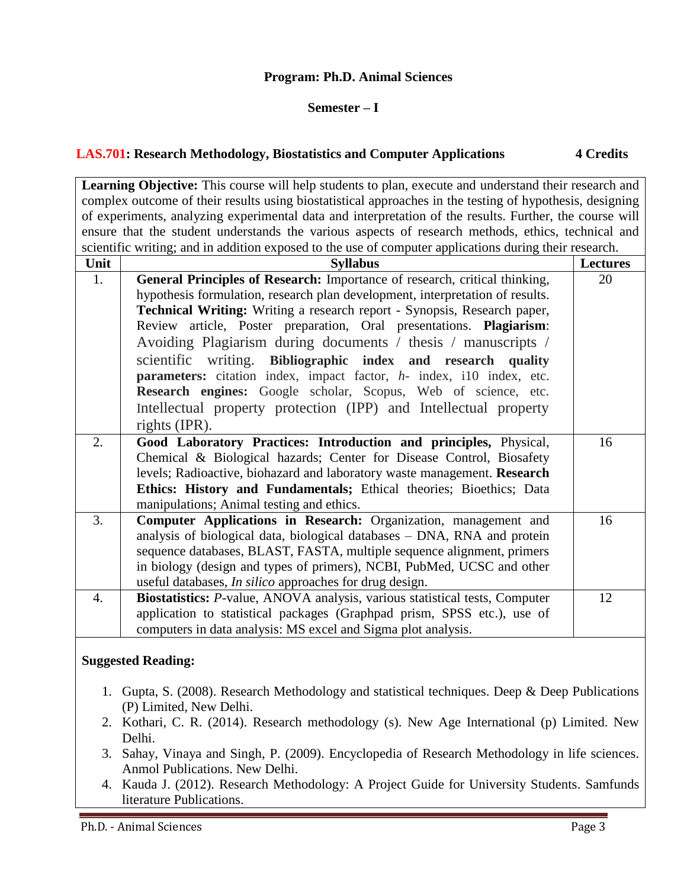#### **Program: Ph.D. Animal Sciences**

#### **Semester – I**

#### **LAS.701: Research Methodology, Biostatistics and Computer Applications 4 Credits**

Learning Objective: This course will help students to plan, execute and understand their research and complex outcome of their results using biostatistical approaches in the testing of hypothesis, designing of experiments, analyzing experimental data and interpretation of the results. Further, the course will ensure that the student understands the various aspects of research methods, ethics, technical and scientific writing; and in addition exposed to the use of computer applications during their research.

| Unit             | <b>Syllabus</b>                                                                                                                                             | Lectures |
|------------------|-------------------------------------------------------------------------------------------------------------------------------------------------------------|----------|
| 1.               | General Principles of Research: Importance of research, critical thinking,<br>hypothesis formulation, research plan development, interpretation of results. | 20       |
|                  | Technical Writing: Writing a research report - Synopsis, Research paper,                                                                                    |          |
|                  | Review article, Poster preparation, Oral presentations. Plagiarism:                                                                                         |          |
|                  | Avoiding Plagiarism during documents / thesis / manuscripts /                                                                                               |          |
|                  | scientific writing. Bibliographic index and research quality                                                                                                |          |
|                  | parameters: citation index, impact factor, h- index, i10 index, etc.                                                                                        |          |
|                  | Research engines: Google scholar, Scopus, Web of science, etc.                                                                                              |          |
|                  | Intellectual property protection (IPP) and Intellectual property                                                                                            |          |
|                  | rights (IPR).                                                                                                                                               |          |
| 2.               | Good Laboratory Practices: Introduction and principles, Physical,                                                                                           | 16       |
|                  | Chemical & Biological hazards; Center for Disease Control, Biosafety                                                                                        |          |
|                  | levels; Radioactive, biohazard and laboratory waste management. Research                                                                                    |          |
|                  | Ethics: History and Fundamentals; Ethical theories; Bioethics; Data                                                                                         |          |
|                  | manipulations; Animal testing and ethics.                                                                                                                   |          |
| 3.               | Computer Applications in Research: Organization, management and                                                                                             | 16       |
|                  | analysis of biological data, biological databases - DNA, RNA and protein                                                                                    |          |
|                  | sequence databases, BLAST, FASTA, multiple sequence alignment, primers                                                                                      |          |
|                  | in biology (design and types of primers), NCBI, PubMed, UCSC and other                                                                                      |          |
|                  | useful databases, <i>In silico</i> approaches for drug design.                                                                                              |          |
| $\overline{4}$ . | Biostatistics: P-value, ANOVA analysis, various statistical tests, Computer                                                                                 | 12       |
|                  | application to statistical packages (Graphpad prism, SPSS etc.), use of                                                                                     |          |
|                  | computers in data analysis: MS excel and Sigma plot analysis.                                                                                               |          |
|                  | <b>Suggested Reading:</b>                                                                                                                                   |          |

- 1. Gupta, S. (2008). Research Methodology and statistical techniques. Deep & Deep Publications (P) Limited, New Delhi.
- 2. Kothari, C. R. (2014). Research methodology (s). New Age International (p) Limited. New Delhi.
- 3. Sahay, Vinaya and Singh, P. (2009). Encyclopedia of Research Methodology in life sciences. Anmol Publications. New Delhi.
- 4. Kauda J. (2012). Research Methodology: A Project Guide for University Students. Samfunds literature Publications.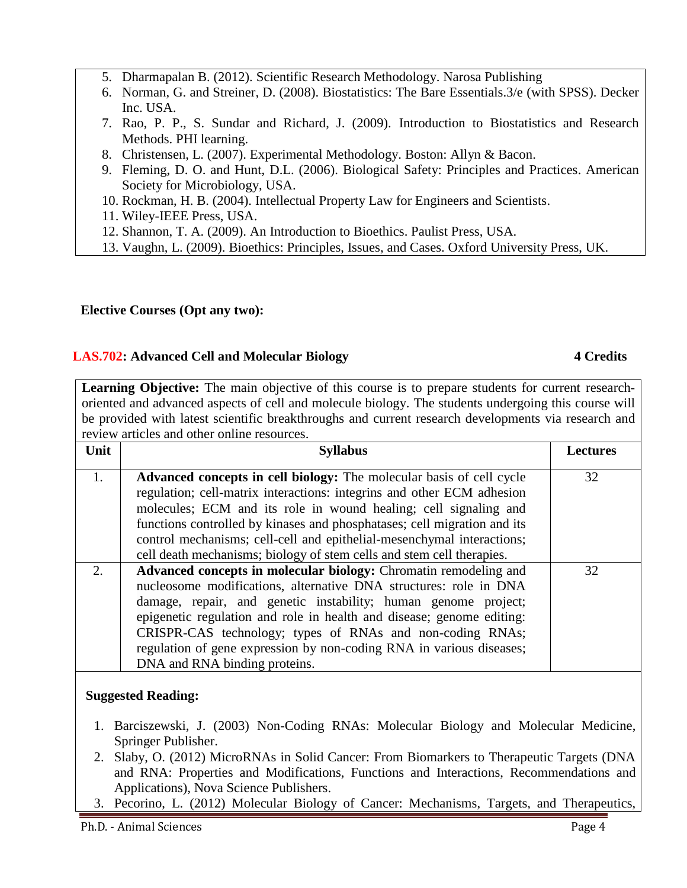- 5. Dharmapalan B. (2012). Scientific Research Methodology. Narosa Publishing
- 6. Norman, G. and Streiner, D. (2008). Biostatistics: The Bare Essentials.3/e (with SPSS). Decker Inc. USA.
- 7. Rao, P. P., S. Sundar and Richard, J. (2009). Introduction to Biostatistics and Research Methods. PHI learning.
- 8. Christensen, L. (2007). Experimental Methodology. Boston: Allyn & Bacon.
- 9. Fleming, D. O. and Hunt, D.L. (2006). Biological Safety: Principles and Practices. American Society for Microbiology, USA.
- 10. Rockman, H. B. (2004). Intellectual Property Law for Engineers and Scientists.
- 11. Wiley-IEEE Press, USA.
- 12. Shannon, T. A. (2009). An Introduction to Bioethics. Paulist Press, USA.
- 13. Vaughn, L. (2009). Bioethics: Principles, Issues, and Cases. Oxford University Press, UK.

# **Elective Courses (Opt any two):**

# **LAS.702: Advanced Cell and Molecular Biology 4 Credits**

Learning Objective: The main objective of this course is to prepare students for current researchoriented and advanced aspects of cell and molecule biology. The students undergoing this course will be provided with latest scientific breakthroughs and current research developments via research and review articles and other online resources.

| Unit | <b>Syllabus</b>                                                                                                                                                                                                                                                                                                                                                                                                                                        | <b>Lectures</b> |
|------|--------------------------------------------------------------------------------------------------------------------------------------------------------------------------------------------------------------------------------------------------------------------------------------------------------------------------------------------------------------------------------------------------------------------------------------------------------|-----------------|
| 1.   | Advanced concepts in cell biology: The molecular basis of cell cycle<br>regulation; cell-matrix interactions: integrins and other ECM adhesion<br>molecules; ECM and its role in wound healing; cell signaling and<br>functions controlled by kinases and phosphatases; cell migration and its<br>control mechanisms; cell-cell and epithelial-mesenchymal interactions;<br>cell death mechanisms; biology of stem cells and stem cell therapies.      | 32              |
| 2.   | Advanced concepts in molecular biology: Chromatin remodeling and<br>nucleosome modifications, alternative DNA structures: role in DNA<br>damage, repair, and genetic instability; human genome project;<br>epigenetic regulation and role in health and disease; genome editing:<br>CRISPR-CAS technology; types of RNAs and non-coding RNAs;<br>regulation of gene expression by non-coding RNA in various diseases;<br>DNA and RNA binding proteins. | 32              |

# **Suggested Reading:**

- 1. Barciszewski, J. (2003) Non-Coding RNAs: Molecular Biology and Molecular Medicine, Springer Publisher.
- 2. Slaby, O. (2012) MicroRNAs in Solid Cancer: From Biomarkers to Therapeutic Targets (DNA and RNA: Properties and Modifications, Functions and Interactions, Recommendations and Applications), Nova Science Publishers.
- 3. Pecorino, L. (2012) Molecular Biology of Cancer: Mechanisms, Targets, and Therapeutics,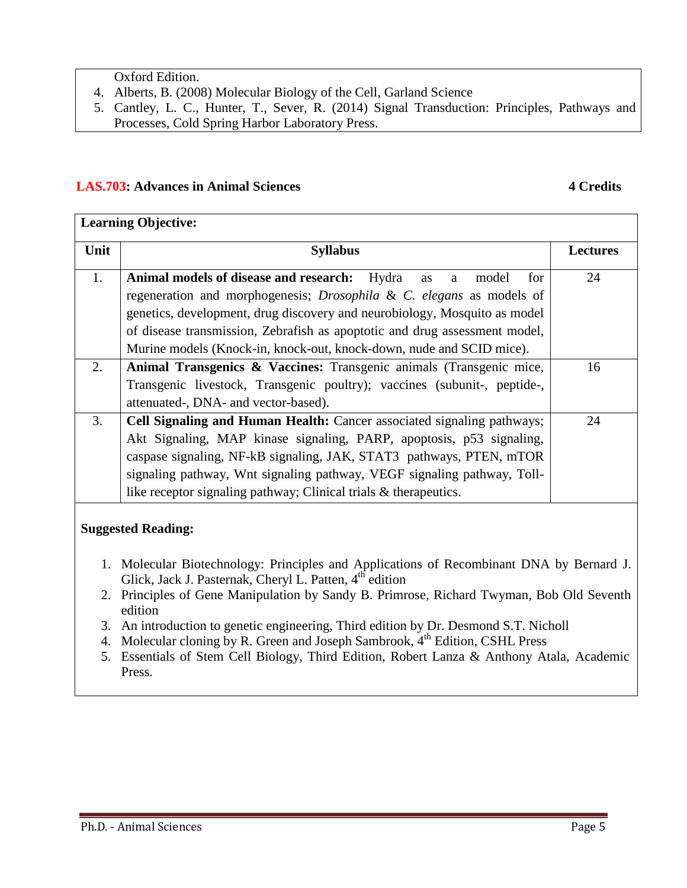Oxford Edition.

- 4. Alberts, B. (2008) Molecular Biology of the Cell, Garland Science
- 5. Cantley, L. C., Hunter, T., Sever, R. (2014) Signal Transduction: Principles, Pathways and Processes, Cold Spring Harbor Laboratory Press.

### LAS.703: Advances in Animal Sciences 4 Credits

| <b>Learning Objective:</b> |                                                                                                                                                                 |                 |  |
|----------------------------|-----------------------------------------------------------------------------------------------------------------------------------------------------------------|-----------------|--|
| Unit                       | <b>Syllabus</b>                                                                                                                                                 | <b>Lectures</b> |  |
| 1.                         | Animal models of disease and research: Hydra<br>model<br>for<br>as<br>a                                                                                         | 24              |  |
|                            | regeneration and morphogenesis; <i>Drosophila &amp; C. elegans</i> as models of                                                                                 |                 |  |
|                            | genetics, development, drug discovery and neurobiology, Mosquito as model                                                                                       |                 |  |
|                            | of disease transmission, Zebrafish as apoptotic and drug assessment model,                                                                                      |                 |  |
|                            | Murine models (Knock-in, knock-out, knock-down, nude and SCID mice).                                                                                            |                 |  |
| 2.                         | Animal Transgenics & Vaccines: Transgenic animals (Transgenic mice,                                                                                             | 16              |  |
|                            | Transgenic livestock, Transgenic poultry); vaccines (subunit-, peptide-,                                                                                        |                 |  |
|                            | attenuated-, DNA- and vector-based).                                                                                                                            |                 |  |
| 3.                         | Cell Signaling and Human Health: Cancer associated signaling pathways;                                                                                          | 24              |  |
|                            | Akt Signaling, MAP kinase signaling, PARP, apoptosis, p53 signaling,                                                                                            |                 |  |
|                            | caspase signaling, NF-kB signaling, JAK, STAT3 pathways, PTEN, mTOR                                                                                             |                 |  |
|                            | signaling pathway, Wnt signaling pathway, VEGF signaling pathway, Toll-                                                                                         |                 |  |
|                            | like receptor signaling pathway; Clinical trials & therapeutics.                                                                                                |                 |  |
| <b>Suggested Reading:</b>  |                                                                                                                                                                 |                 |  |
|                            | 1. Molecular Biotechnology: Principles and Applications of Recombinant DNA by Bernard J.<br>Glick, Jack J. Pasternak, Cheryl L. Patten, 4 <sup>th</sup> edition |                 |  |
|                            | 2. Principles of Gene Manipulation by Sandy B. Primrose, Richard Twyman, Bob Old Seventh<br>edition                                                             |                 |  |
| 3.                         | An introduction to genetic engineering, Third edition by Dr. Desmond S.T. Nicholl                                                                               |                 |  |
| 4.                         | Molecular cloning by R. Green and Joseph Sambrook, 4 <sup>th</sup> Edition, CSHL Press                                                                          |                 |  |
| 5.                         | Essentials of Stem Cell Biology, Third Edition, Robert Lanza & Anthony Atala, Academic<br>Press.                                                                |                 |  |